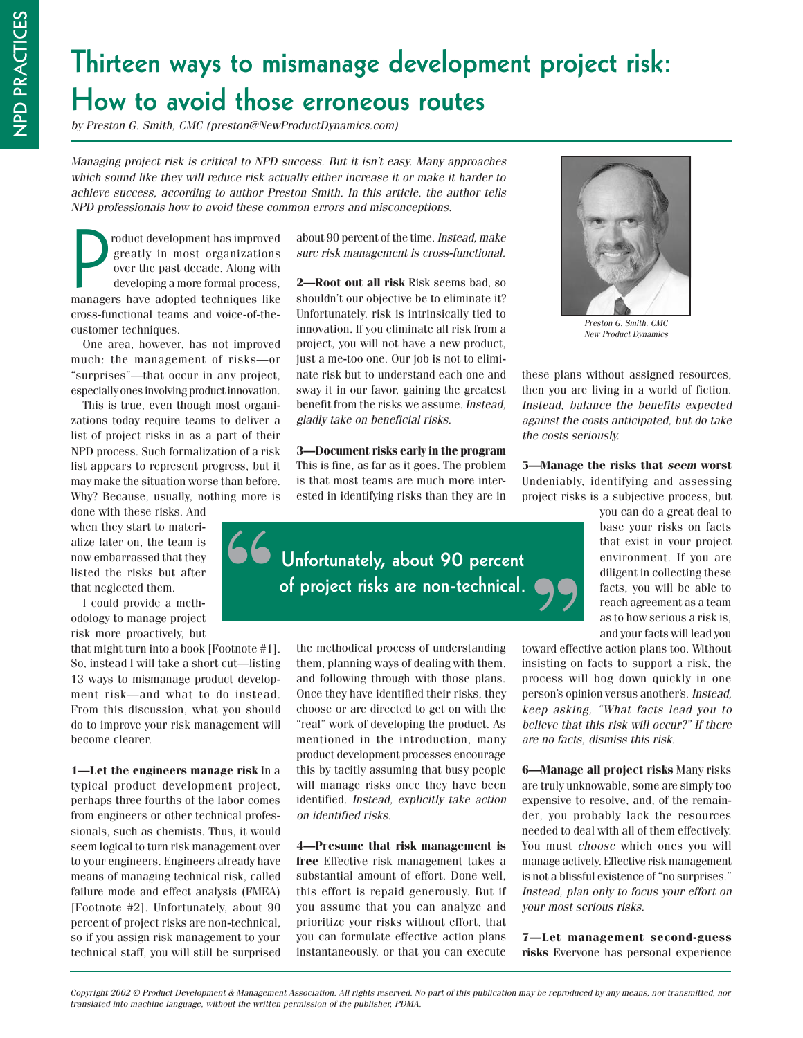## **Thirteen ways to mismanage development project risk: How to avoid those erroneous routes**

by Preston G. Smith, CMC (preston@NewProductDynamics.com)

Managing project risk is critical to NPD success. But it isn't easy. Many approaches which sound like they will reduce risk actually either increase it or make it harder to achieve success, according to author Preston Smith. In this article, the author tells NPD professionals how to avoid these common errors and misconceptions.

P<br>P roduct development has improved greatly in most organizations over the past decade. Along with developing a more formal process, managers have adopted techniques like cross-functional teams and voice-of-thecustomer techniques.

One area, however, has not improved much: the management of risks—or "surprises"—that occur in any project, especially ones involving product innovation.

This is true, even though most organizations today require teams to deliver a list of project risks in as a part of their NPD process. Such formalization of a risk list appears to represent progress, but it may make the situation worse than before. Why? Because, usually, nothing more is

done with these risks. And when they start to materialize later on, the team is now embarrassed that they listed the risks but after that neglected them.

I could provide a methodology to manage project risk more proactively, but

that might turn into a book [Footnote #1]. So, instead I will take a short cut—listing 13 ways to mismanage product development risk—and what to do instead. From this discussion, what you should do to improve your risk management will become clearer.

**1—Let the engineers manage risk** In a typical product development project, perhaps three fourths of the labor comes from engineers or other technical professionals, such as chemists. Thus, it would seem logical to turn risk management over to your engineers. Engineers already have means of managing technical risk, called failure mode and effect analysis (FMEA) [Footnote #2]. Unfortunately, about 90 percent of project risks are non-technical, so if you assign risk management to your technical staff, you will still be surprised about 90 percent of the time. Instead, make sure risk management is cross-functional.

**2—Root out all risk** Risk seems bad, so shouldn't our objective be to eliminate it? Unfortunately, risk is intrinsically tied to innovation. If you eliminate all risk from a project, you will not have a new product, just a me-too one. Our job is not to eliminate risk but to understand each one and sway it in our favor, gaining the greatest benefit from the risks we assume. Instead, gladly take on beneficial risks.

**3—Document risks early in the program** This is fine, as far as it goes. The problem is that most teams are much more interested in identifying risks than they are in



the methodical process of understanding them, planning ways of dealing with them, and following through with those plans. Once they have identified their risks, they choose or are directed to get on with the "real" work of developing the product. As mentioned in the introduction, many product development processes encourage this by tacitly assuming that busy people will manage risks once they have been identified. Instead, explicitly take action on identified risks.

**4—Presume that risk management is free** Effective risk management takes a substantial amount of effort. Done well, this effort is repaid generously. But if you assume that you can analyze and prioritize your risks without effort, that you can formulate effective action plans instantaneously, or that you can execute



Preston G. Smith, CMC New Product Dynamics

these plans without assigned resources, then you are living in a world of fiction. Instead, balance the benefits expected against the costs anticipated, but do take the costs seriously.

**5—Manage the risks that seem worst** Undeniably, identifying and assessing project risks is a subjective process, but

> you can do a great deal to base your risks on facts that exist in your project environment. If you are diligent in collecting these facts, you will be able to reach agreement as a team as to how serious a risk is, and your facts will lead you

toward effective action plans too. Without insisting on facts to support a risk, the process will bog down quickly in one person's opinion versus another's. Instead, keep asking, "What facts lead you to believe that this risk will occur?" If there are no facts, dismiss this risk.

**6—Manage all project risks** Many risks are truly unknowable, some are simply too expensive to resolve, and, of the remainder, you probably lack the resources needed to deal with all of them effectively. You must choose which ones you will manage actively. Effective risk management is not a blissful existence of "no surprises." Instead, plan only to focus your effort on your most serious risks.

**7—Let management second-guess risks** Everyone has personal experience

 $\omega$ <sub>p</sub>right 2002  $\approx$  1 roduct Development & management Association. An rights reserved: wo part or ans publication may be reproduced by any means, nor a ansimited, nor<br>translated into machine language, without the writte Copyright 2002 © Product Development & Management Association. All rights reserved. No part of this publication may be reproduced by any means, nor transmitted, nor